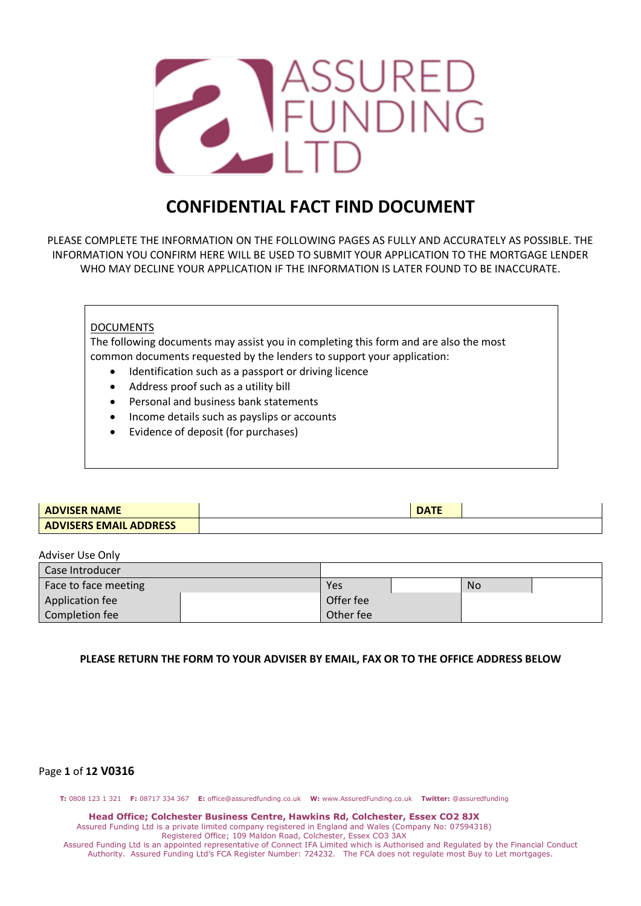

# **CONFIDENTIAL FACT FIND DOCUMENT**

PLEASE COMPLETE THE INFORMATION ON THE FOLLOWING PAGES AS FULLY AND ACCURATELY AS POSSIBLE. THE INFORMATION YOU CONFIRM HERE WILL BE USED TO SUBMIT YOUR APPLICATION TO THE MORTGAGE LENDER WHO MAY DECLINE YOUR APPLICATION IF THE INFORMATION IS LATER FOUND TO BE INACCURATE.

# DOCUMENTS

The following documents may assist you in completing this form and are also the most common documents requested by the lenders to support your application:

- Identification such as a passport or driving licence
- Address proof such as a utility bill
- Personal and business bank statements
- Income details such as payslips or accounts
- Evidence of deposit (for purchases)

| <b>ADVISER NAME</b>           | $\mathbf{L}$ |  |
|-------------------------------|--------------|--|
| <b>ADVISERS EMAIL ADDRESS</b> |              |  |

| Adviser Use Only     |           |                |  |  |
|----------------------|-----------|----------------|--|--|
| Case Introducer      |           |                |  |  |
| Face to face meeting | Yes       | N <sub>o</sub> |  |  |
| Application fee      |           | Offer fee      |  |  |
| Completion fee       | Other fee |                |  |  |

## **PLEASE RETURN THE FORM TO YOUR ADVISER BY EMAIL, FAX OR TO THE OFFICE ADDRESS BELOW**

# Page **1** of **12 V0316**

**T:** 0808 123 1 321 **F:** 08717 334 367 **E:** office@assuredfunding.co.uk **W:** www.AssuredFunding.co.uk **Twitter:** @assuredfunding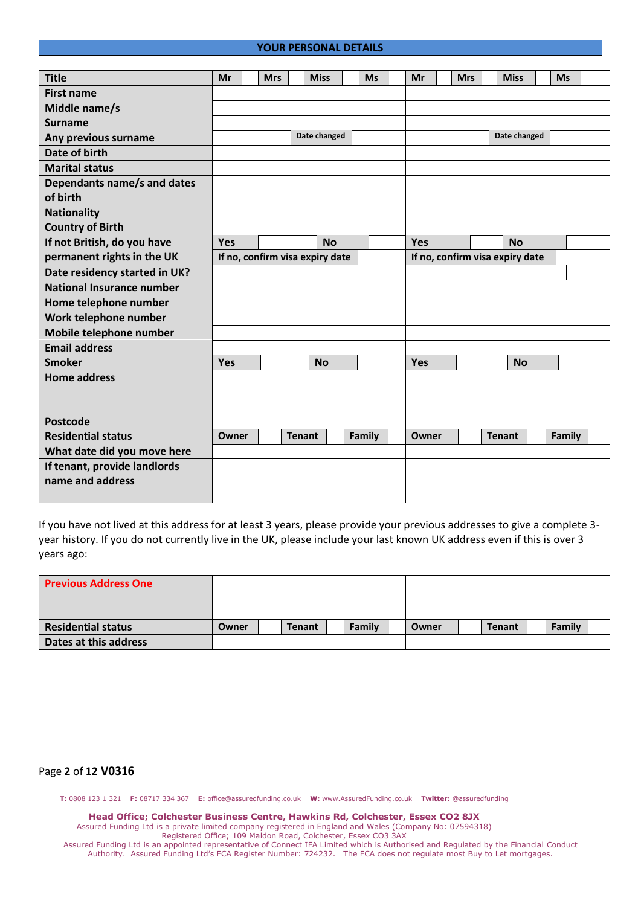### **YOUR PERSONAL DETAILS**

| <b>Title</b>                     | Mr    | <b>Mrs</b> |               | <b>Miss</b>                     | <b>Ms</b> | Mr                              | <b>Mrs</b> | <b>Miss</b>   | <b>Ms</b> |  |
|----------------------------------|-------|------------|---------------|---------------------------------|-----------|---------------------------------|------------|---------------|-----------|--|
| <b>First name</b>                |       |            |               |                                 |           |                                 |            |               |           |  |
| Middle name/s                    |       |            |               |                                 |           |                                 |            |               |           |  |
| <b>Surname</b>                   |       |            |               |                                 |           |                                 |            |               |           |  |
| Any previous surname             |       |            |               | Date changed                    |           |                                 |            | Date changed  |           |  |
| Date of birth                    |       |            |               |                                 |           |                                 |            |               |           |  |
| <b>Marital status</b>            |       |            |               |                                 |           |                                 |            |               |           |  |
| Dependants name/s and dates      |       |            |               |                                 |           |                                 |            |               |           |  |
| of birth                         |       |            |               |                                 |           |                                 |            |               |           |  |
| <b>Nationality</b>               |       |            |               |                                 |           |                                 |            |               |           |  |
| <b>Country of Birth</b>          |       |            |               |                                 |           |                                 |            |               |           |  |
| If not British, do you have      | Yes   |            |               | <b>No</b>                       |           | Yes                             |            | <b>No</b>     |           |  |
| permanent rights in the UK       |       |            |               | If no, confirm visa expiry date |           | If no, confirm visa expiry date |            |               |           |  |
| Date residency started in UK?    |       |            |               |                                 |           |                                 |            |               |           |  |
| <b>National Insurance number</b> |       |            |               |                                 |           |                                 |            |               |           |  |
| Home telephone number            |       |            |               |                                 |           |                                 |            |               |           |  |
| Work telephone number            |       |            |               |                                 |           |                                 |            |               |           |  |
| Mobile telephone number          |       |            |               |                                 |           |                                 |            |               |           |  |
| <b>Email address</b>             |       |            |               |                                 |           |                                 |            |               |           |  |
| <b>Smoker</b>                    | Yes   |            |               | <b>No</b>                       |           | Yes                             |            | <b>No</b>     |           |  |
| <b>Home address</b>              |       |            |               |                                 |           |                                 |            |               |           |  |
|                                  |       |            |               |                                 |           |                                 |            |               |           |  |
| <b>Postcode</b>                  |       |            |               |                                 |           |                                 |            |               |           |  |
| <b>Residential status</b>        | Owner |            | <b>Tenant</b> |                                 | Family    | Owner                           |            | <b>Tenant</b> | Family    |  |
| What date did you move here      |       |            |               |                                 |           |                                 |            |               |           |  |
| If tenant, provide landlords     |       |            |               |                                 |           |                                 |            |               |           |  |
| name and address                 |       |            |               |                                 |           |                                 |            |               |           |  |
|                                  |       |            |               |                                 |           |                                 |            |               |           |  |

If you have not lived at this address for at least 3 years, please provide your previous addresses to give a complete 3 year history. If you do not currently live in the UK, please include your last known UK address even if this is over 3 years ago:

| <b>Previous Address One</b> |       |               |        |       |               |        |  |
|-----------------------------|-------|---------------|--------|-------|---------------|--------|--|
| <b>Residential status</b>   | Owner | <b>Tenant</b> | Family | Owner | <b>Tenant</b> | Family |  |
| Dates at this address       |       |               |        |       |               |        |  |

### Page **2** of **12 V0316**

**T:** 0808 123 1 321 **F:** 08717 334 367 **E:** office@assuredfunding.co.uk **W:** www.AssuredFunding.co.uk **Twitter:** @assuredfunding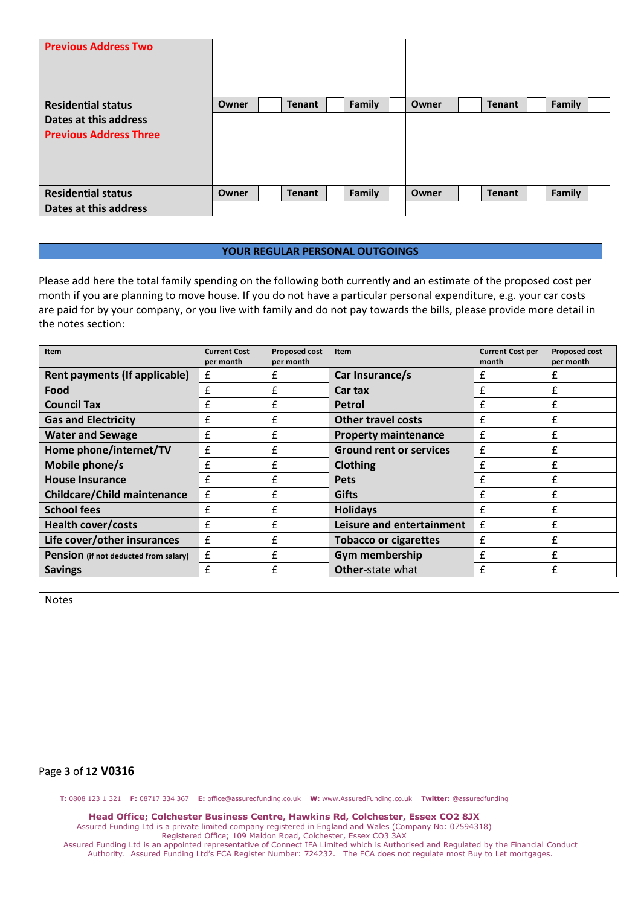| <b>Previous Address Two</b>   |       |               |        |       |               |        |
|-------------------------------|-------|---------------|--------|-------|---------------|--------|
| <b>Residential status</b>     | Owner | <b>Tenant</b> | Family | Owner | <b>Tenant</b> | Family |
| Dates at this address         |       |               |        |       |               |        |
| <b>Previous Address Three</b> |       |               |        |       |               |        |
| <b>Residential status</b>     | Owner | <b>Tenant</b> | Family | Owner | <b>Tenant</b> | Family |
| Dates at this address         |       |               |        |       |               |        |

### **YOUR REGULAR PERSONAL OUTGOINGS**

Please add here the total family spending on the following both currently and an estimate of the proposed cost per month if you are planning to move house. If you do not have a particular personal expenditure, e.g. your car costs are paid for by your company, or you live with family and do not pay towards the bills, please provide more detail in the notes section:

| Item                                         | <b>Current Cost</b> | Proposed cost | Item                           | <b>Current Cost per</b> | <b>Proposed cost</b> |
|----------------------------------------------|---------------------|---------------|--------------------------------|-------------------------|----------------------|
|                                              | per month           | per month     |                                | month                   | per month            |
| Rent payments (If applicable)                | £                   | £             | Car Insurance/s                |                         |                      |
| Food                                         | £                   | £             | Car tax                        | £                       | £                    |
| <b>Council Tax</b>                           | f                   | £             | <b>Petrol</b>                  | f                       | f                    |
| <b>Gas and Electricity</b>                   | £                   | £             | <b>Other travel costs</b>      | £                       | £                    |
| <b>Water and Sewage</b>                      | £                   | £             | <b>Property maintenance</b>    | £                       | f                    |
| Home phone/internet/TV                       | £                   | £             | <b>Ground rent or services</b> | £                       | £                    |
| Mobile phone/s                               | £                   | £             | <b>Clothing</b>                | £                       | £                    |
| <b>House Insurance</b>                       | f                   | £             | <b>Pets</b>                    |                         | f                    |
| <b>Childcare/Child maintenance</b>           | £                   | £             | <b>Gifts</b>                   | £                       | £                    |
| <b>School fees</b>                           | f                   | £             | <b>Holidays</b>                | £                       | £                    |
| <b>Health cover/costs</b>                    | £                   | £             | Leisure and entertainment      | £                       | £                    |
| Life cover/other insurances                  | f                   | £             | <b>Tobacco or cigarettes</b>   | f                       | £                    |
| <b>Pension</b> (if not deducted from salary) | £                   | £             | Gym membership                 | f                       | f                    |
| <b>Savings</b>                               | £                   | £             | <b>Other-state what</b>        | £                       | £                    |

Notes

# Page **3** of **12 V0316**

**T:** 0808 123 1 321 **F:** 08717 334 367 **E:** office@assuredfunding.co.uk **W:** www.AssuredFunding.co.uk **Twitter:** @assuredfunding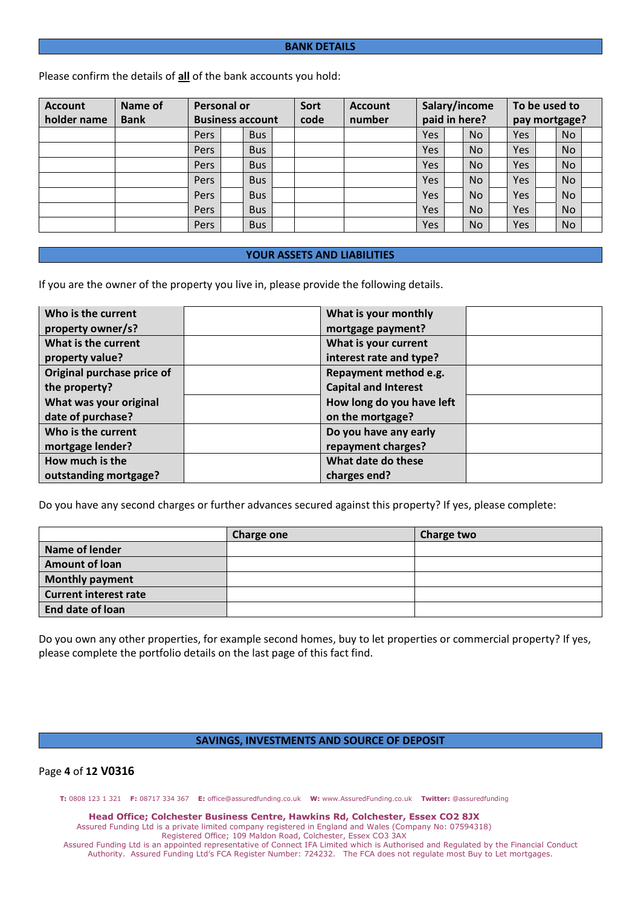#### **BANK DETAILS**

Please confirm the details of **all** of the bank accounts you hold:

| <b>Account</b> | Name of     |             | Personal or             |            |  | Sort | <b>Account</b> |     |               | Salary/income |  | To be used to |           |  |  |  |
|----------------|-------------|-------------|-------------------------|------------|--|------|----------------|-----|---------------|---------------|--|---------------|-----------|--|--|--|
| holder name    | <b>Bank</b> |             | <b>Business account</b> |            |  | code | number         |     | paid in here? |               |  | pay mortgage? |           |  |  |  |
|                |             | <b>Pers</b> |                         | <b>Bus</b> |  |      |                | Yes |               | <b>No</b>     |  | Yes           | <b>No</b> |  |  |  |
|                |             | Pers        |                         | <b>Bus</b> |  |      |                | Yes |               | <b>No</b>     |  | Yes           | <b>No</b> |  |  |  |
|                |             | <b>Pers</b> |                         | <b>Bus</b> |  |      |                | Yes |               | <b>No</b>     |  | Yes           | <b>No</b> |  |  |  |
|                |             | Pers        |                         | <b>Bus</b> |  |      |                | Yes |               | <b>No</b>     |  | Yes           | <b>No</b> |  |  |  |
|                |             | <b>Pers</b> |                         | <b>Bus</b> |  |      |                | Yes |               | <b>No</b>     |  | Yes           | <b>No</b> |  |  |  |
|                |             | Pers        |                         | <b>Bus</b> |  |      |                | Yes |               | <b>No</b>     |  | Yes           | <b>No</b> |  |  |  |
|                |             | Pers        |                         | <b>Bus</b> |  |      |                | Yes |               | <b>No</b>     |  | Yes           | <b>No</b> |  |  |  |

### **YOUR ASSETS AND LIABILITIES**

If you are the owner of the property you live in, please provide the following details.

| Who is the current         | What is your monthly        |  |
|----------------------------|-----------------------------|--|
| property owner/s?          | mortgage payment?           |  |
| What is the current        | What is your current        |  |
| property value?            | interest rate and type?     |  |
| Original purchase price of | Repayment method e.g.       |  |
| the property?              | <b>Capital and Interest</b> |  |
| What was your original     | How long do you have left   |  |
| date of purchase?          | on the mortgage?            |  |
| Who is the current         | Do you have any early       |  |
| mortgage lender?           | repayment charges?          |  |
| How much is the            | What date do these          |  |
| outstanding mortgage?      | charges end?                |  |

Do you have any second charges or further advances secured against this property? If yes, please complete:

|                              | <b>Charge one</b> | Charge two |
|------------------------------|-------------------|------------|
| Name of lender               |                   |            |
| <b>Amount of loan</b>        |                   |            |
| <b>Monthly payment</b>       |                   |            |
| <b>Current interest rate</b> |                   |            |
| End date of loan             |                   |            |

Do you own any other properties, for example second homes, buy to let properties or commercial property? If yes, please complete the portfolio details on the last page of this fact find.

#### **SAVINGS, INVESTMENTS AND SOURCE OF DEPOSIT**

# Page **4** of **12 V0316**

**T:** 0808 123 1 321 **F:** 08717 334 367 **E:** office@assuredfunding.co.uk **W:** www.AssuredFunding.co.uk **Twitter:** @assuredfunding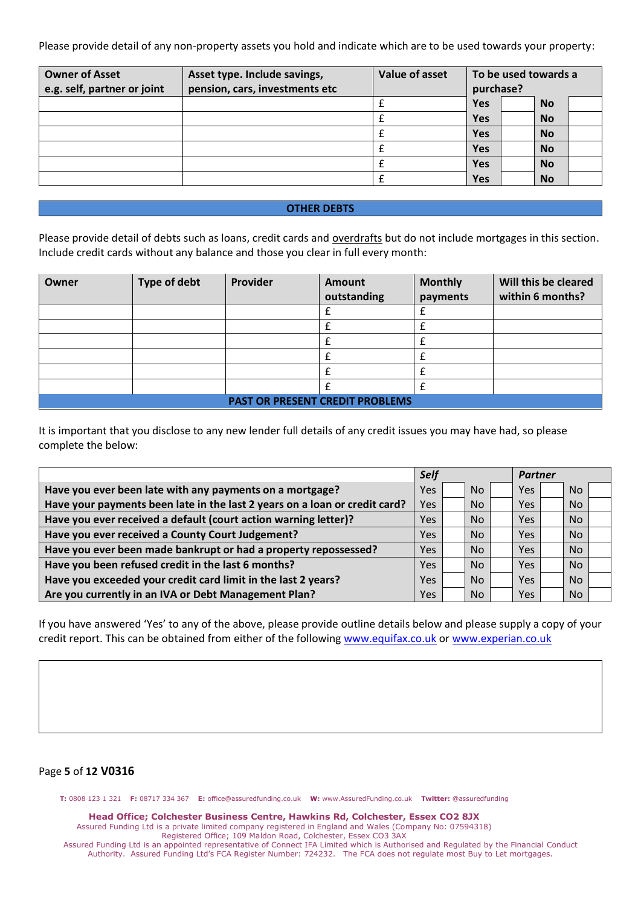Please provide detail of any non-property assets you hold and indicate which are to be used towards your property:

| <b>Owner of Asset</b><br>e.g. self, partner or joint | Asset type. Include savings,<br>pension, cars, investments etc | Value of asset | purchase?  | To be used towards a |
|------------------------------------------------------|----------------------------------------------------------------|----------------|------------|----------------------|
|                                                      |                                                                |                | Yes        | <b>No</b>            |
|                                                      |                                                                |                | <b>Yes</b> | <b>No</b>            |
|                                                      |                                                                |                | <b>Yes</b> | <b>No</b>            |
|                                                      |                                                                |                | <b>Yes</b> | <b>No</b>            |
|                                                      |                                                                |                | <b>Yes</b> | <b>No</b>            |
|                                                      |                                                                |                | Yes        | <b>No</b>            |

### **OTHER DEBTS**

Please provide detail of debts such as loans, credit cards and overdrafts but do not include mortgages in this section. Include credit cards without any balance and those you clear in full every month:

| Owner | <b>Type of debt</b> | Provider | Amount                                 | <b>Monthly</b> | Will this be cleared |
|-------|---------------------|----------|----------------------------------------|----------------|----------------------|
|       |                     |          | outstanding                            | payments       | within 6 months?     |
|       |                     |          |                                        |                |                      |
|       |                     |          |                                        |                |                      |
|       |                     |          |                                        |                |                      |
|       |                     |          |                                        |                |                      |
|       |                     |          |                                        |                |                      |
|       |                     |          |                                        |                |                      |
|       |                     |          | <b>PAST OR PRESENT CREDIT PROBLEMS</b> |                |                      |

It is important that you disclose to any new lender full details of any credit issues you may have had, so please complete the below:

|                                                                            | <b>Self</b> |           | <b>Partner</b> |  |           |  |
|----------------------------------------------------------------------------|-------------|-----------|----------------|--|-----------|--|
| Have you ever been late with any payments on a mortgage?                   | Yes         | <b>No</b> | Yes            |  | <b>No</b> |  |
| Have your payments been late in the last 2 years on a loan or credit card? | Yes         | <b>No</b> | Yes            |  | <b>No</b> |  |
| Have you ever received a default (court action warning letter)?            | Yes         | <b>No</b> | <b>Yes</b>     |  | <b>No</b> |  |
| Have you ever received a County Court Judgement?                           | <b>Yes</b>  | <b>No</b> | <b>Yes</b>     |  | <b>No</b> |  |
| Have you ever been made bankrupt or had a property repossessed?            | <b>Yes</b>  | <b>No</b> | Yes            |  | <b>No</b> |  |
| Have you been refused credit in the last 6 months?                         | <b>Yes</b>  | <b>No</b> | Yes.           |  | <b>No</b> |  |
| Have you exceeded your credit card limit in the last 2 years?              | Yes         | <b>No</b> | <b>Yes</b>     |  | <b>No</b> |  |
| Are you currently in an IVA or Debt Management Plan?                       | Yes         | <b>No</b> | Yes            |  | <b>No</b> |  |

If you have answered 'Yes' to any of the above, please provide outline details below and please supply a copy of your credit report. This can be obtained from either of the following [www.equifax.co.uk](http://www.equifax.co.uk/) or [www.experian.co.uk](http://www.experian.co.uk/)

# Page **5** of **12 V0316**

**T:** 0808 123 1 321 **F:** 08717 334 367 **E:** office@assuredfunding.co.uk **W:** www.AssuredFunding.co.uk **Twitter:** @assuredfunding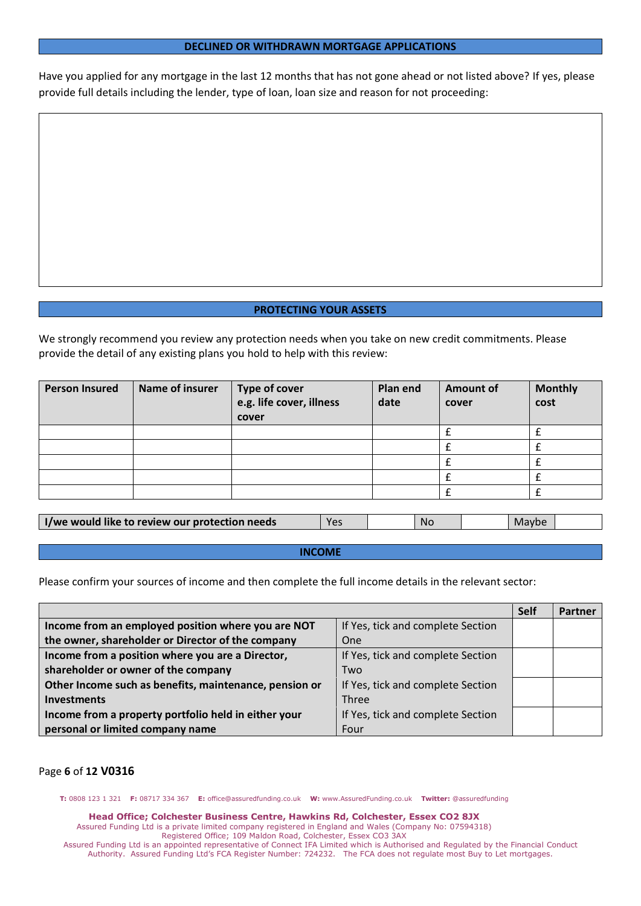#### **DECLINED OR WITHDRAWN MORTGAGE APPLICATIONS**

Have you applied for any mortgage in the last 12 months that has not gone ahead or not listed above? If yes, please provide full details including the lender, type of loan, loan size and reason for not proceeding:

#### **PROTECTING YOUR ASSETS**

We strongly recommend you review any protection needs when you take on new credit commitments. Please provide the detail of any existing plans you hold to help with this review:

| <b>Person Insured</b> | Name of insurer | Type of cover<br>e.g. life cover, illness<br>cover | Plan end<br>date | <b>Amount of</b><br>cover | <b>Monthly</b><br>cost |
|-----------------------|-----------------|----------------------------------------------------|------------------|---------------------------|------------------------|
|                       |                 |                                                    |                  |                           |                        |
|                       |                 |                                                    |                  |                           |                        |
|                       |                 |                                                    |                  |                           |                        |
|                       |                 |                                                    |                  |                           |                        |
|                       |                 |                                                    |                  |                           |                        |

| I/we would like to review our protection needs | ۷ρς | Nc | Maybe |  |
|------------------------------------------------|-----|----|-------|--|
|                                                |     |    |       |  |

#### **INCOME**

Please confirm your sources of income and then complete the full income details in the relevant sector:

|                                                        |                                   | <b>Self</b> | Partner |
|--------------------------------------------------------|-----------------------------------|-------------|---------|
| Income from an employed position where you are NOT     | If Yes, tick and complete Section |             |         |
| the owner, shareholder or Director of the company      | One                               |             |         |
| Income from a position where you are a Director,       | If Yes, tick and complete Section |             |         |
| shareholder or owner of the company                    | Two                               |             |         |
| Other Income such as benefits, maintenance, pension or | If Yes, tick and complete Section |             |         |
| <b>Investments</b>                                     | <b>Three</b>                      |             |         |
| Income from a property portfolio held in either your   | If Yes, tick and complete Section |             |         |
| personal or limited company name                       | Four                              |             |         |

# Page **6** of **12 V0316**

**T:** 0808 123 1 321 **F:** 08717 334 367 **E:** office@assuredfunding.co.uk **W:** www.AssuredFunding.co.uk **Twitter:** @assuredfunding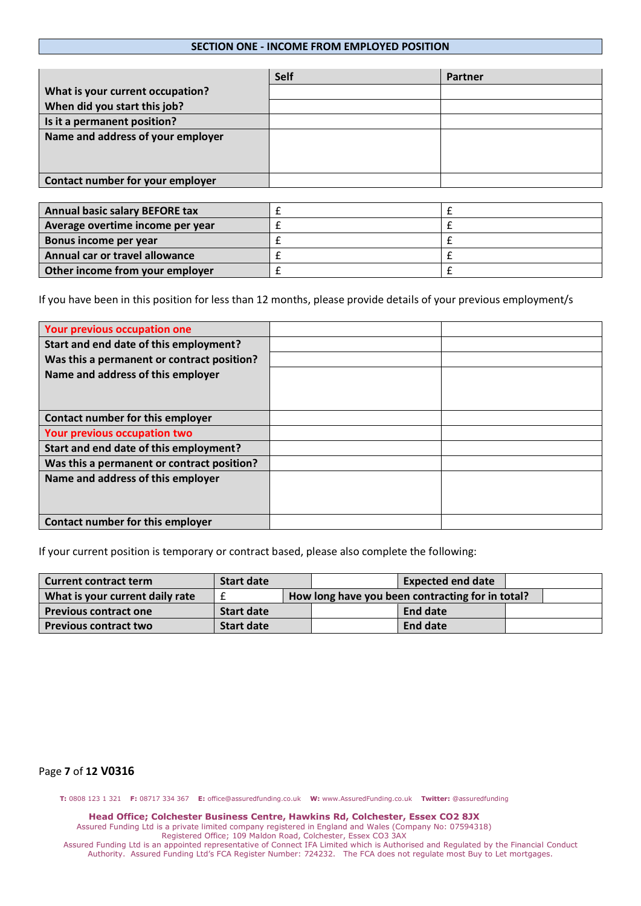### **SECTION ONE - INCOME FROM EMPLOYED POSITION**

|                                   | Self | Partner |
|-----------------------------------|------|---------|
| What is your current occupation?  |      |         |
| When did you start this job?      |      |         |
| Is it a permanent position?       |      |         |
| Name and address of your employer |      |         |
|                                   |      |         |
|                                   |      |         |
| Contact number for your employer  |      |         |

| <b>Annual basic salary BEFORE tax</b> |  |
|---------------------------------------|--|
| Average overtime income per year      |  |
| Bonus income per year                 |  |
| Annual car or travel allowance        |  |
| Other income from your employer       |  |

If you have been in this position for less than 12 months, please provide details of your previous employment/s

| Your previous occupation one               |  |
|--------------------------------------------|--|
| Start and end date of this employment?     |  |
| Was this a permanent or contract position? |  |
| Name and address of this employer          |  |
| Contact number for this employer           |  |
| Your previous occupation two               |  |
| Start and end date of this employment?     |  |
| Was this a permanent or contract position? |  |
| Name and address of this employer          |  |
| Contact number for this employer           |  |

If your current position is temporary or contract based, please also complete the following:

| <b>Current contract term</b>    | Start date        |  | <b>Expected end date</b>                         |                 |  |
|---------------------------------|-------------------|--|--------------------------------------------------|-----------------|--|
| What is your current daily rate |                   |  | How long have you been contracting for in total? |                 |  |
| <b>Previous contract one</b>    | <b>Start date</b> |  |                                                  | End date        |  |
| <b>Previous contract two</b>    | <b>Start date</b> |  |                                                  | <b>End date</b> |  |

### Page **7** of **12 V0316**

**T:** 0808 123 1 321 **F:** 08717 334 367 **E:** office@assuredfunding.co.uk **W:** www.AssuredFunding.co.uk **Twitter:** @assuredfunding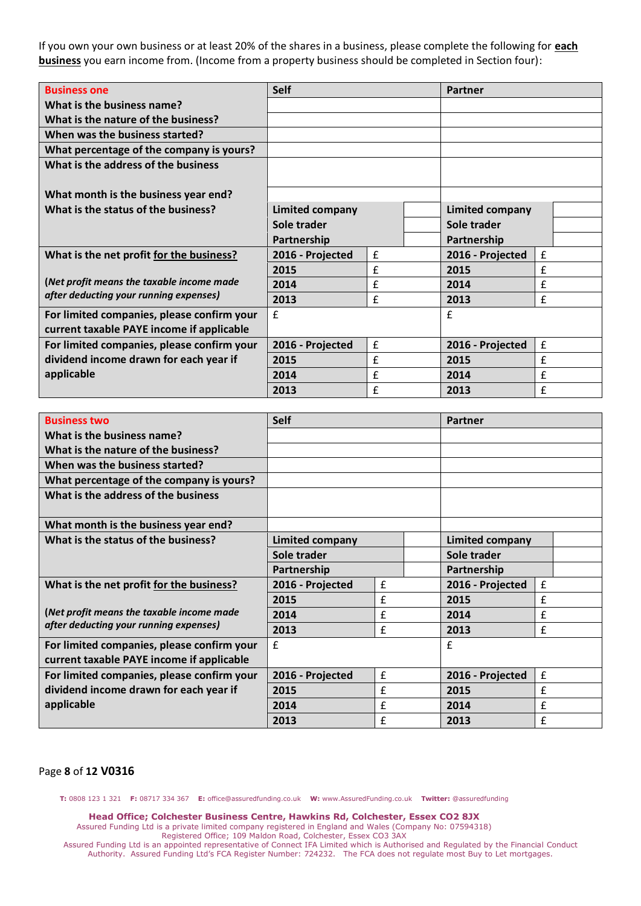If you own your own business or at least 20% of the shares in a business, please complete the following for **each business** you earn income from. (Income from a property business should be completed in Section four):

| <b>Business one</b>                        | <b>Self</b>            |                    | Partner                |                    |  |
|--------------------------------------------|------------------------|--------------------|------------------------|--------------------|--|
| What is the business name?                 |                        |                    |                        |                    |  |
| What is the nature of the business?        |                        |                    |                        |                    |  |
| When was the business started?             |                        |                    |                        |                    |  |
| What percentage of the company is yours?   |                        |                    |                        |                    |  |
| What is the address of the business        |                        |                    |                        |                    |  |
| What month is the business year end?       |                        |                    |                        |                    |  |
| What is the status of the business?        | <b>Limited company</b> |                    | <b>Limited company</b> |                    |  |
|                                            | Sole trader            |                    | Sole trader            |                    |  |
|                                            | Partnership            |                    | Partnership            |                    |  |
| What is the net profit for the business?   | 2016 - Projected       | £                  | 2016 - Projected       | $\pmb{\mathsf{f}}$ |  |
|                                            | 2015                   | £                  | 2015                   | £                  |  |
| (Net profit means the taxable income made  | 2014                   | £                  | 2014                   | £                  |  |
| after deducting your running expenses)     | 2013                   | £                  | 2013                   | £                  |  |
| For limited companies, please confirm your | £                      |                    | £                      |                    |  |
| current taxable PAYE income if applicable  |                        |                    |                        |                    |  |
| For limited companies, please confirm your | 2016 - Projected       | $\pmb{\mathsf{f}}$ | 2016 - Projected       | £                  |  |
| dividend income drawn for each year if     | 2015                   | £                  | 2015                   | £                  |  |
| applicable                                 | 2014                   | £                  | 2014                   | £                  |  |
|                                            | 2013                   | £                  | 2013                   | £                  |  |

| <b>Business two</b>                                                                     | <b>Self</b>                |              | <b>Partner</b>         |                    |  |
|-----------------------------------------------------------------------------------------|----------------------------|--------------|------------------------|--------------------|--|
| What is the business name?                                                              |                            |              |                        |                    |  |
| What is the nature of the business?                                                     |                            |              |                        |                    |  |
| When was the business started?                                                          |                            |              |                        |                    |  |
| What percentage of the company is yours?                                                |                            |              |                        |                    |  |
| What is the address of the business                                                     |                            |              |                        |                    |  |
| What month is the business year end?                                                    |                            |              |                        |                    |  |
| What is the status of the business?                                                     | <b>Limited company</b>     |              | <b>Limited company</b> |                    |  |
|                                                                                         | Sole trader<br>Partnership |              | Sole trader            |                    |  |
|                                                                                         |                            |              | Partnership            |                    |  |
| What is the net profit for the business?                                                | 2016 - Projected           | $\mathbf{f}$ | 2016 - Projected       | £                  |  |
|                                                                                         | 2015                       | £            | 2015                   | £                  |  |
| (Net profit means the taxable income made                                               | 2014                       | £            | 2014                   | £                  |  |
| after deducting your running expenses)                                                  | 2013                       | £            | 2013                   | £                  |  |
| For limited companies, please confirm your<br>current taxable PAYE income if applicable | $\mathbf{f}$               |              | £                      |                    |  |
| For limited companies, please confirm your                                              | 2016 - Projected           | $\mathbf f$  | 2016 - Projected       | $\pmb{\mathtt{f}}$ |  |
| dividend income drawn for each year if                                                  | 2015                       | $\mathbf{f}$ | 2015                   | £                  |  |
| applicable                                                                              | 2014                       | $\mathbf{f}$ | 2014                   | £                  |  |
|                                                                                         | 2013                       | f            | 2013                   | f                  |  |

## Page **8** of **12 V0316**

**T:** 0808 123 1 321 **F:** 08717 334 367 **E:** office@assuredfunding.co.uk **W:** www.AssuredFunding.co.uk **Twitter:** @assuredfunding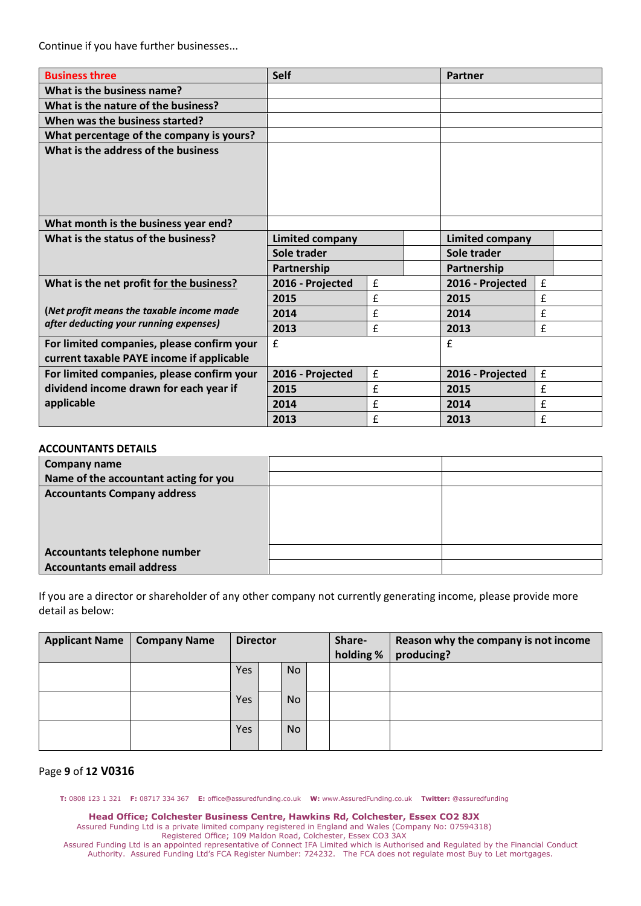Continue if you have further businesses...

| <b>Business three</b>                                                                   | <b>Self</b>            |             |                 | Partner          |   |  |
|-----------------------------------------------------------------------------------------|------------------------|-------------|-----------------|------------------|---|--|
| What is the business name?                                                              |                        |             |                 |                  |   |  |
| What is the nature of the business?                                                     |                        |             |                 |                  |   |  |
| When was the business started?                                                          |                        |             |                 |                  |   |  |
| What percentage of the company is yours?                                                |                        |             |                 |                  |   |  |
| What is the address of the business                                                     |                        |             |                 |                  |   |  |
| What month is the business year end?                                                    |                        |             |                 |                  |   |  |
| What is the status of the business?                                                     | <b>Limited company</b> |             | Limited company |                  |   |  |
|                                                                                         | Sole trader            |             | Sole trader     |                  |   |  |
|                                                                                         | Partnership            | Partnership |                 |                  |   |  |
| What is the net profit for the business?                                                | 2016 - Projected       | £           |                 | 2016 - Projected | £ |  |
|                                                                                         | 2015                   | £           |                 | 2015             | £ |  |
| (Net profit means the taxable income made                                               | 2014                   | £           |                 | 2014             | £ |  |
| after deducting your running expenses)                                                  | 2013                   | £           |                 | 2013             | £ |  |
| For limited companies, please confirm your<br>current taxable PAYE income if applicable | £                      |             |                 | $\mathbf{f}$     |   |  |
| For limited companies, please confirm your                                              | 2016 - Projected       | £           |                 | 2016 - Projected | £ |  |
| dividend income drawn for each year if                                                  | 2015                   | £           |                 | 2015             | £ |  |
| applicable                                                                              | 2014                   | £           |                 | 2014             | £ |  |
|                                                                                         | 2013                   | £           |                 | 2013             | £ |  |

### **ACCOUNTANTS DETAILS**

| Company name                          |  |
|---------------------------------------|--|
| Name of the accountant acting for you |  |
| <b>Accountants Company address</b>    |  |
|                                       |  |
| Accountants telephone number          |  |
| <b>Accountants email address</b>      |  |

If you are a director or shareholder of any other company not currently generating income, please provide more detail as below:

| <b>Applicant Name</b> | <b>Company Name</b> |     | <b>Director</b> |    | Share-<br>holding % | Reason why the company is not income<br>producing? |  |
|-----------------------|---------------------|-----|-----------------|----|---------------------|----------------------------------------------------|--|
|                       |                     | Yes |                 | No |                     |                                                    |  |
|                       |                     |     |                 |    |                     |                                                    |  |
|                       |                     | Yes |                 | No |                     |                                                    |  |
|                       |                     |     |                 |    |                     |                                                    |  |
|                       |                     | Yes |                 | No |                     |                                                    |  |
|                       |                     |     |                 |    |                     |                                                    |  |

# Page **9** of **12 V0316**

**T:** 0808 123 1 321 **F:** 08717 334 367 **E:** office@assuredfunding.co.uk **W:** www.AssuredFunding.co.uk **Twitter:** @assuredfunding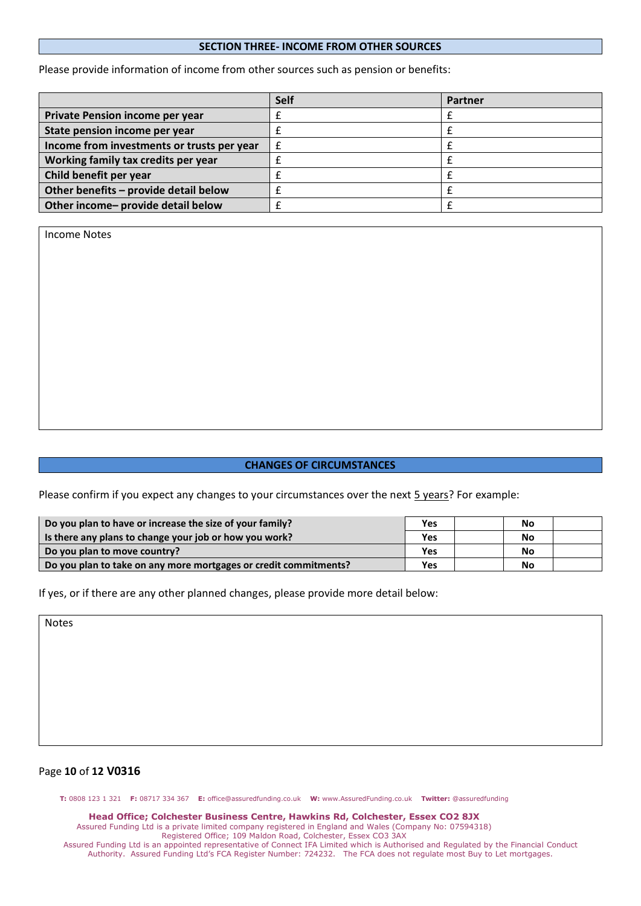### **SECTION THREE- INCOME FROM OTHER SOURCES**

Please provide information of income from other sources such as pension or benefits:

|                                            | Self | Partner |
|--------------------------------------------|------|---------|
| Private Pension income per year            |      |         |
| State pension income per year              |      |         |
| Income from investments or trusts per year |      |         |
| Working family tax credits per year        |      |         |
| Child benefit per year                     |      |         |
| Other benefits - provide detail below      |      |         |
| Other income- provide detail below         |      |         |

Income Notes

### **CHANGES OF CIRCUMSTANCES**

Please confirm if you expect any changes to your circumstances over the next 5 years? For example:

| Do you plan to have or increase the size of your family?         | <b>Yes</b> | No |  |
|------------------------------------------------------------------|------------|----|--|
| Is there any plans to change your job or how you work?           | Yes        | No |  |
| Do you plan to move country?                                     | Yes        | No |  |
| Do you plan to take on any more mortgages or credit commitments? | Yes        | No |  |

If yes, or if there are any other planned changes, please provide more detail below:

Notes

## Page **10** of **12 V0316**

**T:** 0808 123 1 321 **F:** 08717 334 367 **E:** office@assuredfunding.co.uk **W:** www.AssuredFunding.co.uk **Twitter:** @assuredfunding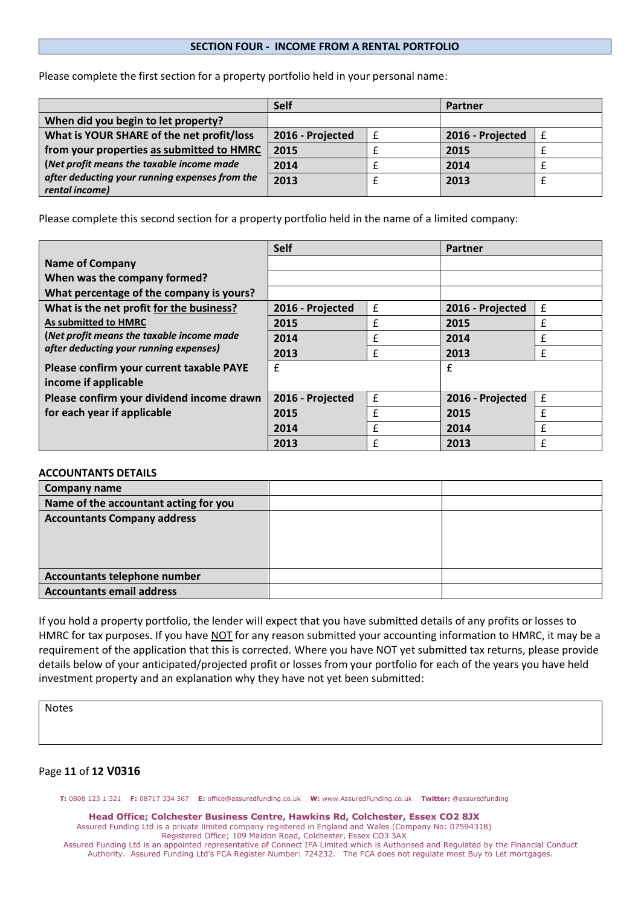### **SECTION FOUR - INCOME FROM A RENTAL PORTFOLIO**

Please complete the first section for a property portfolio held in your personal name:

|                                                                  | Self             |   | Partner          |  |  |
|------------------------------------------------------------------|------------------|---|------------------|--|--|
| When did you begin to let property?                              |                  |   |                  |  |  |
| What is YOUR SHARE of the net profit/loss                        | 2016 - Projected | £ | 2016 - Projected |  |  |
| from your properties as submitted to HMRC                        | 2015             |   | 2015             |  |  |
| (Net profit means the taxable income made                        | 2014             |   | 2014             |  |  |
| after deducting your running expenses from the<br>rental income) | 2013             |   | 2013             |  |  |

Please complete this second section for a property portfolio held in the name of a limited company:

|                                                                                     | <b>Self</b>      |   | <b>Partner</b>   |   |  |
|-------------------------------------------------------------------------------------|------------------|---|------------------|---|--|
| <b>Name of Company</b>                                                              |                  |   |                  |   |  |
| When was the company formed?                                                        |                  |   |                  |   |  |
| What percentage of the company is yours?                                            |                  |   |                  |   |  |
| What is the net profit for the business?                                            | 2016 - Projected | £ | 2016 - Projected | £ |  |
| As submitted to HMRC                                                                | 2015             | £ | 2015             | £ |  |
| (Net profit means the taxable income made<br>after deducting your running expenses) | 2014             | f | 2014             | £ |  |
|                                                                                     | 2013             | £ | 2013             | £ |  |
| Please confirm your current taxable PAYE                                            | £                |   | £                |   |  |
| income if applicable                                                                |                  |   |                  |   |  |
| Please confirm your dividend income drawn                                           | 2016 - Projected | £ | 2016 - Projected | £ |  |
| for each year if applicable                                                         | 2015             | £ | 2015             | £ |  |
|                                                                                     | 2014             | f | 2014             | £ |  |
|                                                                                     | 2013             | f | 2013             | f |  |

### **ACCOUNTANTS DETAILS**

| Company name                          |  |
|---------------------------------------|--|
| Name of the accountant acting for you |  |
| <b>Accountants Company address</b>    |  |
|                                       |  |
|                                       |  |
|                                       |  |
| Accountants telephone number          |  |
| <b>Accountants email address</b>      |  |

If you hold a property portfolio, the lender will expect that you have submitted details of any profits or losses to HMRC for tax purposes. If you have NOT for any reason submitted your accounting information to HMRC, it may be a requirement of the application that this is corrected. Where you have NOT yet submitted tax returns, please provide details below of your anticipated/projected profit or losses from your portfolio for each of the years you have held investment property and an explanation why they have not yet been submitted:

Notes

### Page **11** of **12 V0316**

**T:** 0808 123 1 321 **F:** 08717 334 367 **E:** office@assuredfunding.co.uk **W:** www.AssuredFunding.co.uk **Twitter:** @assuredfunding